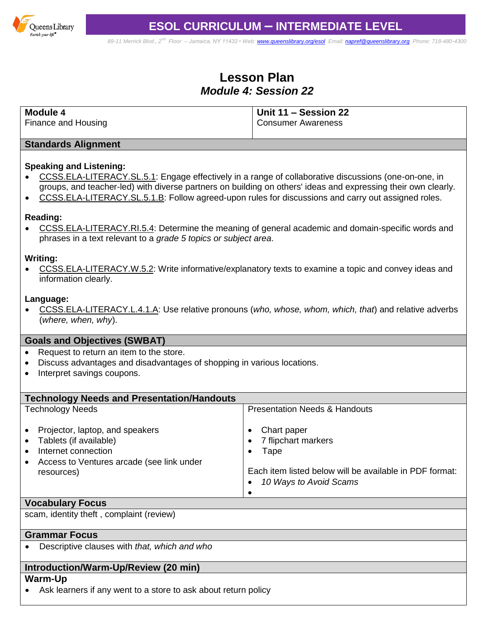

# **ESOL CURRICULUM – INTERMEDIATE LEVEL**

*89-11 Merrick Blvd., 2nd Floor – Jamaica, NY 11432 • Web[: www.queenslibrary.org/esol](http://www.queenslibrary.org/esol) Email: [napref@queenslibrary.org](mailto:napref@queenslibrary.org) Phone: 718-480-4300*

# **Lesson Plan** *Module 4: Session 22*

| <b>Module 4</b>     | Unit 11 - Session 22      |
|---------------------|---------------------------|
| Finance and Housing | <b>Consumer Awareness</b> |

### **Standards Alignment**

### **Speaking and Listening:**

- [CCSS.ELA-LITERACY.SL.5.1:](http://www.corestandards.org/ELA-Literacy/SL/5/1/) Engage effectively in a range of collaborative discussions (one-on-one, in groups, and teacher-led) with diverse partners on building on others' ideas and expressing their own clearly.
- [CCSS.ELA-LITERACY.SL.5.1.B:](http://www.corestandards.org/ELA-Literacy/SL/5/1/b/) Follow agreed-upon rules for discussions and carry out assigned roles.

#### **Reading:**

 [CCSS.ELA-LITERACY.RI.5.4:](http://www.corestandards.org/ELA-Literacy/RI/5/4/) Determine the meaning of general academic and domain-specific words and phrases in a text relevant to a *grade 5 topics or subject area*.

#### **Writing:**

 [CCSS.ELA-LITERACY.W.5.2:](http://www.corestandards.org/ELA-Literacy/W/5/2/) Write informative/explanatory texts to examine a topic and convey ideas and information clearly.

#### **Language:**

 [CCSS.ELA-LITERACY.L.4.1.A:](http://www.corestandards.org/ELA-Literacy/L/4/1/a/) Use relative pronouns (*who, whose, whom, which, that*) and relative adverbs (*where, when, why*).

### **Goals and Objectives (SWBAT)**

- Request to return an item to the store.
- Discuss advantages and disadvantages of shopping in various locations.
- Interpret savings coupons.

| <b>Technology Needs and Presentation/Handouts</b>                                                                                                        |                                                                                                                                 |
|----------------------------------------------------------------------------------------------------------------------------------------------------------|---------------------------------------------------------------------------------------------------------------------------------|
| <b>Technology Needs</b>                                                                                                                                  | <b>Presentation Needs &amp; Handouts</b>                                                                                        |
| Projector, laptop, and speakers<br>Tablets (if available)<br>$\bullet$<br>Internet connection<br>Access to Ventures arcade (see link under<br>resources) | Chart paper<br>7 flipchart markers<br>Tape<br>Each item listed below will be available in PDF format:<br>10 Ways to Avoid Scams |
| Marach of americans                                                                                                                                      |                                                                                                                                 |

**Vocabulary Focus** scam, identity theft , complaint (review)

### **Grammar Focus**

Descriptive clauses with *that, which and who*

# **Introduction/Warm-Up/Review (20 min)**

#### **Warm-Up**

Ask learners if any went to a store to ask about return policy